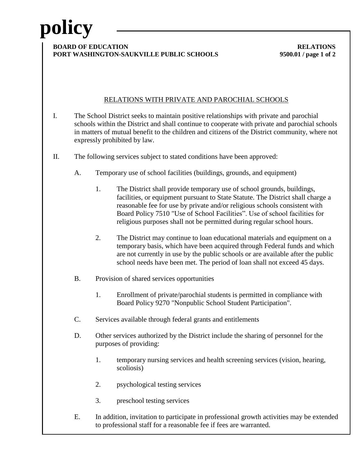# **policy**

### **BOARD OF EDUCATION RELATIONS PORT WASHINGTON-SAUKVILLE PUBLIC SCHOOLS 9500.01 / page 1 of 2**

### RELATIONS WITH PRIVATE AND PAROCHIAL SCHOOLS

- I. The School District seeks to maintain positive relationships with private and parochial schools within the District and shall continue to cooperate with private and parochial schools in matters of mutual benefit to the children and citizens of the District community, where not expressly prohibited by law.
- II. The following services subject to stated conditions have been approved:
	- A. Temporary use of school facilities (buildings, grounds, and equipment)
		- 1. The District shall provide temporary use of school grounds, buildings, facilities, or equipment pursuant to State Statute. The District shall charge a reasonable fee for use by private and/or religious schools consistent with Board Policy 7510 "Use of School Facilities". Use of school facilities for religious purposes shall not be permitted during regular school hours.
		- 2. The District may continue to loan educational materials and equipment on a temporary basis, which have been acquired through Federal funds and which are not currently in use by the public schools or are available after the public school needs have been met. The period of loan shall not exceed 45 days.
	- B. Provision of shared services opportunities
		- 1. Enrollment of private/parochial students is permitted in compliance with Board Policy 9270 "Nonpublic School Student Participation".
	- C. Services available through federal grants and entitlements
	- D. Other services authorized by the District include the sharing of personnel for the purposes of providing:
		- 1. temporary nursing services and health screening services (vision, hearing, scoliosis)
		- 2. psychological testing services
		- 3. preschool testing services
	- E. In addition, invitation to participate in professional growth activities may be extended to professional staff for a reasonable fee if fees are warranted.